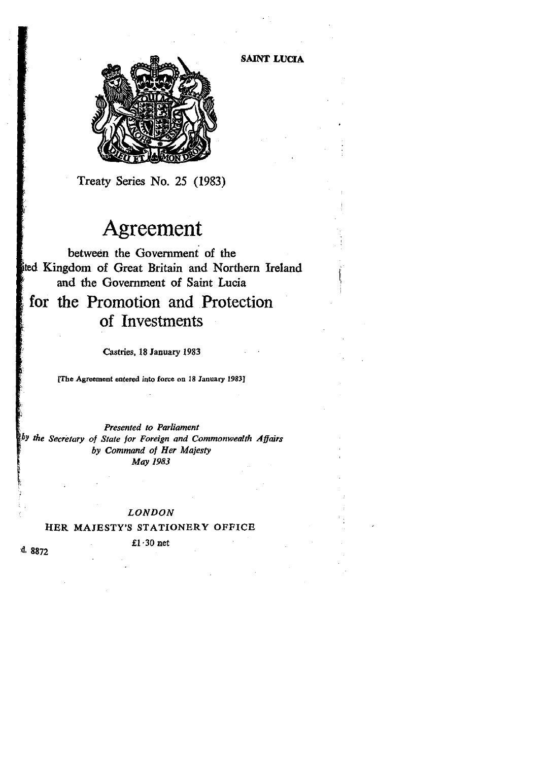# SAINT LUCIA



Treaty Series No. 25 (1983)

# Agreement

between the Government of the ited Kingdom of Great Britain and Northern Ireland and the Government of Saint Lucia . for the Promotion and Protection

of Investments

Castries, 18 January 1983

[The Agreement entered into force on 18 January 1983J

*Presented to Parliament by the Secretary of State for Foreign and Commonwealth Affairs by Command of Her Majesty May 1983* 

## *LONDON*

# HER MAJESTY'S STATIONERY OFFICE

£ $1.30$  net

d. 8872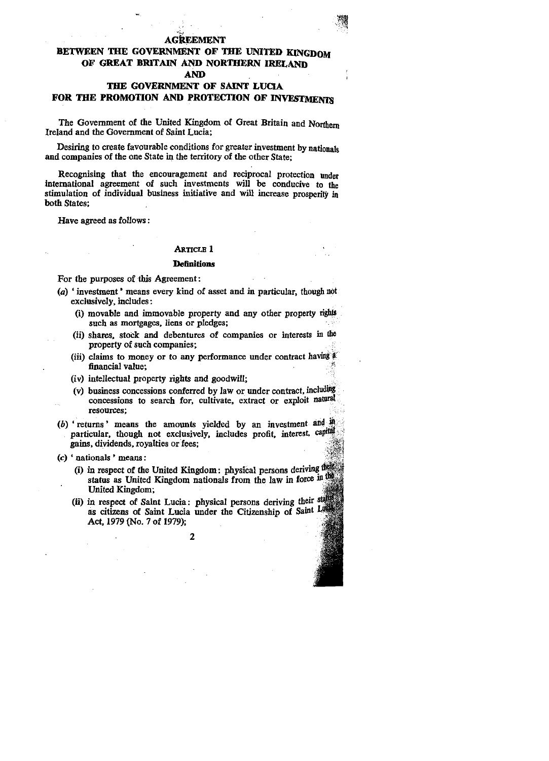# **AGkEEMENT**

# **BETWEEN THE GOVERNMENT OF THE UNITED KINGDOM OF GREAT BRITAIN AND NORTHERN IRELAND**

#### AND

# **THE GOVERNMENT OF SAINT LUCIA FOR mE PROMOTION AND PROTECTION OF INVESTMENTs**

The Government of the United Kingdom of Great Britain and Northern Ireland and the Government of Saint Lucia;

Desiring to create favourable conditions for greater investment by nationals and companies of the one State in the territory of the other State;

Recognising that the encouragement and reciprocal protection under international agreement of such investments will be conducive to the stimulation of individual business initiative and will increase prosperity in both States;

Have agreed as follows:

#### ARTICLE 1

#### **Definitions**

For the purposes of this Agreement:

- (a) 'investment' means every kind of asset and in particular, though not exclusively, includes:
	- (i) movable and immovable property and any other property rights such as mortgages, liens or pledges;
	- (ii) shares, stock and debentures of companies or interests in the property of such companies; .
	- (iii) claims to money or to any performance under contract having a financial value;
	- (iv) intellectual property rights and goodwill;
	- (v) business concessions conferred by law or under contract, including concessions to search for, cultivate, extract or exploit natural **resources;**
- (b) 'returns' means the amounts yielded by an investment and  $\ddot{H}$ particular, though not exclusively, includes profit, interest. capital gains, dividends, royalties or fees;
- $(c)$  ' nationals ' means:
	- (i) in respect of the United Kingdom: physical persons deriving the status as United Kingdom nationals from the law in force in the United Kingdom;
	- (ii) in respect of Saint Lucia: physical persons deriving their stars as citizens of Saint Lucia under the Citizenship of Saint Lund Act, 1979 (No. 7 of 1979);

2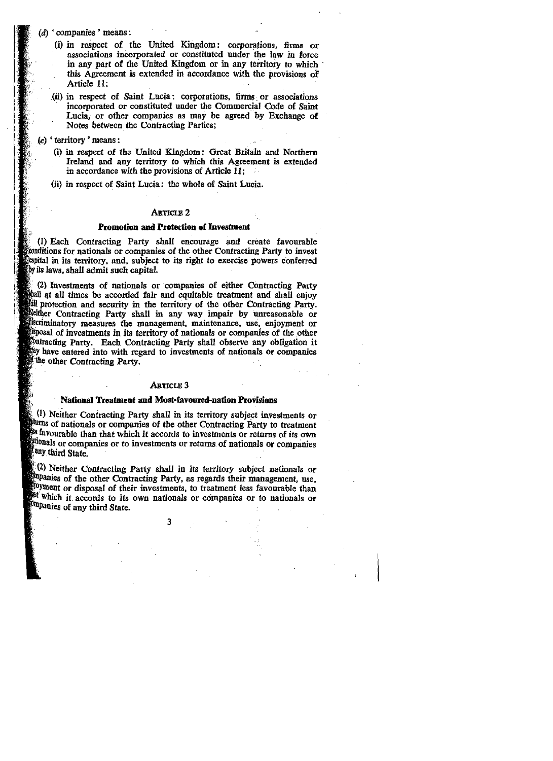(d) 'companies' means:

- (i) in reSpect of the United Kingdom: corporations, firms or associations incorporated or constituted under the law in force in any part of the United Kingdom or in any territory to which this Agreement is extended in accordance with the provisions of Article 11;
- .(ii) in respect of Saint Lucia: corporations, firms. or associations incorporated or constituted under the Commercial Code of Saint Lucia, or other companies as may be agreed by Exchange of Notes between the Contracting Parties;
- $(e)$  'territory' means:

**Inchinesia** 

- (i) in respect of the United Kingdom: Great Britain and Northern Ireland and any territory to which this Agreement is extended in accordance with the provisions of Article 11;
- (ii) in respect of Saint Lucia: the whole of Saint Lucia.

## **ARTICLE 2**

#### **Promotion and Protection of Investment**

Each Contracting Party shalI encourage and create favourable ficultions for nationals or companies of the other Contracting Party to invest capital in its territory, and, subject to its right to exercise powers conferred by its laws, shall admit such capital.

Investments of nationals or companies of either Contracting Party aball at all times be accorded fair and equitable treatment and shall enjoy full protection and security in the territory of the other Contracting Party. Neither Contracting Party shall in any way impair by unreasonable or discriminatory measures the management, maintenance, use, enjoyment or isposal of investments in its territory of nationals or companies of the other Fontracting Party. Each Contracting Party shall observe any obligation it <sup>44</sup>y have entered into with regard to investments of nationals or companies the other Contracting Party.

#### ARTICLE 3

#### **National Treatment and Most-favoured-nation Provisions**

.. (I) Neither Contracting Party shalI in its territory subject investments Or **Rums** of nationals or companies of the other Contracting Party to treatment  $\frac{1}{28}$  favourable than that which it accords to investments or returns of its own <sup>stionals</sup> or companies or to investments or returns of nationals or companies auy third State.

(2) Neither Contracting Party shall in its territory subject nationals or manies of the other Contracting Party, as regards their management, use, <sup>lioyment</sup> or disposal of their investments, to treatment less favourable than <sup>847</sup> which it accords to its own nationals or companies or to nationals or <sup>sompanies</sup> of any third State.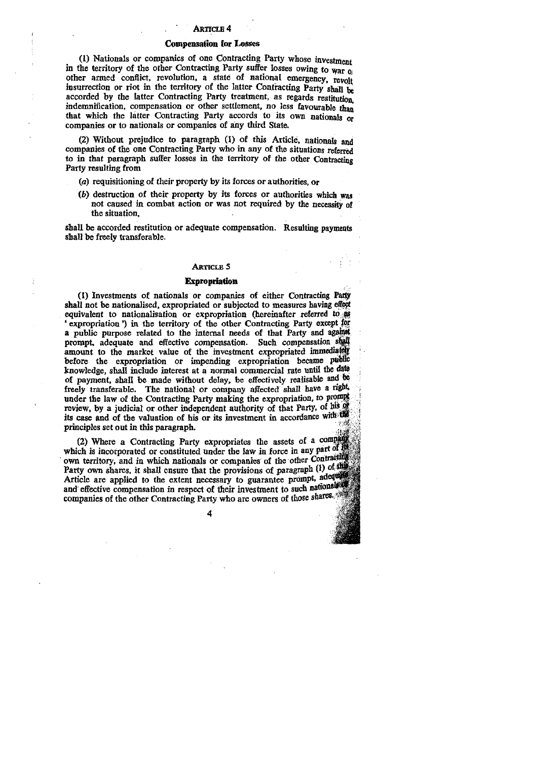#### ARTICLB4

# **Compensation for Losses**

(I) Nationals or companies of one Contracting Party Whose investment in the territory of the other Contracting Party suffer losses owing to war  $_{01}$ other armed conflict, revolution, a state of national emergency, revolt insurrection or riot in the territory of the latter Contracting Party shall be accorded by the latter Contracting Party treatment, as regards restitution, indemnification, compensation or other settlement, no less favourable than that whlch the latter Contracting Party accords to its own nationals or companies or to nationals or companies of any third State.

(2) Without prejudice to paragraph (1) of this Article, nationals and companies of the one Contracting Party who in any of the situations referred to in that paragraph suffer losses in the territory of the other Contracting Party resulting from

- (a) requisitioning of their property by its forces or authorities, or
- (b) destruction of their property by its forces or authorities which was not caused in combat action or was not required by the necessity of the situation,

shall he accorded restitution or adequate compensation. Resulting payments shall be freely transferable.

### **ARTICLE 5**

#### **Expropriation**

(1) Investments of nationals or companies of either Contracting Party shall not be nationalised, expropriated or subjected to measures having effect equivalent to nationalisation or expropriation (hereinafter referred to  $44$ expropriation') in the territory of the other Contracting Party except for a public purpose related to the internal needs of that Party and against prompt, adequate and effective compensation. Such compensation shall amount to the market value of the investment expropriated immediately before the expropriation or impending expropriation became public knowledge, shall include interest at a normal commercial rate until the date of payment, shall be made without delay, be effectively realisable and be freely transferable. The national or company affected shall have a right. under the law of the Contracting Party making the expropriation, to prompt review, by a judicial or other independent authority of that Party, of his of its case and of the valuation of his or its investment in accordance with the principles set out *in* this paragraph.

(2) Where a Contracting Party expropriates the assets of a whlch is incorporated or constituted under the law in force in own territory, and in which nationals or companies of the other Contracting Party own shares, it shall ensure that the provisions of paragraph (1) of the Article are applied to the extent necessary to guarantee prompt, adequa and effective compensation in respect of their investment to such national companies of the other Contracting Party who are owners of those shares.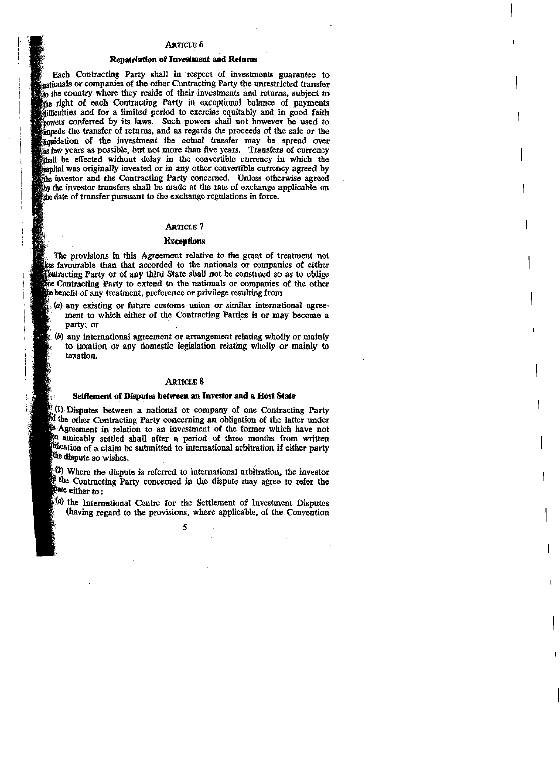## ARTICLE 6

#### **Repatriation of Investment and Retnrns**

Each Contracting Party shall in· respect of investments guarantee to  $\dot{r}$ <sub>inationals</sub> or companies of the other Contracting Party the unrestricted transfer  $\frac{1}{2}$  the country where they reside of their investments and returns, subject to the right of each Contracting Party in exceptional balance of payments ifficulties and for a limited period to exercise equitably and in good faith powers conferred by its laws. Such powers shall not however be used to moede the transfer of returns, and as regards the proceeds of the sale or the fiquidation of the investment the actual transfer may be spread over as few years as possible, but not more than five years. Transfers of currency shall be effected without delay in the convertible currency in which the was originally invested or in any other convertible currency agreed by the investor and the Contracting Party concerned. Unless otherwise agreed investor transfers shall be made at the rate of exchange applicable on the date of transfer pursuant to the exchange regulations in force.

#### ARTICLB 7

#### **Exceptions**

The provisions in this Agreement relative to the grant of treatment not favourable than that accorded to the nationals or companies of either fontracting Party or of any third State shall not be construed so as to oblige Contracting Party to extend to the nationals or companies of the other benefit of any treatment. preference or privilege resulting from

- . (a) any existing or future customs union or similar international agree· ment to which either of the Contracting Parties is or may become a party; or
- $\&$ . (b) any international agreement or arrangement relating wholly or mainly to taxation or any domestic legislation relating wholly or mainly to taxation.

## **ARTICLE 8**

# **Settlement of Disputes between an Investor and a Host State**

 $\binom{n}{k}$  (1) Disputes between a national or company of one Contracting Party of the other Contracting Party concerning an obligation of the latter under <sup>is</sup> Agreement in relation to an investment of the former which have not set a micably settled shall after a period of three months from written dification of a claim be submitted to international arbitration if either party Whe dispute so wishes.

Where the dispute is referred to international arbitration, the investor the Contracting Party concerned in the dispute may agree to refer the pute either to:

 $\binom{a}{b}$  the International Centre for the Settlement of Investment Disputes (having regard to the provisions, where applicable. of the Convention

S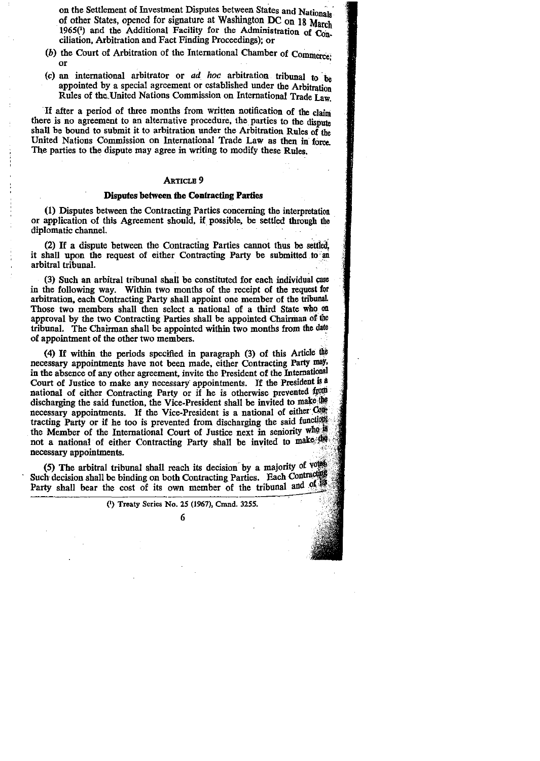on the Settlement of Investment Disputes between States and Nationals of other States, opened for signature at Washington DC on 18 March 1965(1) and the Additional Facility for the Administration of COn. ciliation. Arbitration and Fact Finding Proceedings); or

- (b) the Court of Arbitration of the International Chamber of Commerce; or
- (c) an international arbitrator or  $ad$  hoc arbitration tribunal to be appointed by a special agreement or established under the Arbitration Rules of the-United Nations Commission on International Trade Law.

If after a period of three months from written notification of the claim there is no agreement to an alternative procedure. the parties to the dispute shall be bound to submit it to arbitration under the Arbitration Rules of the United Nations Commission on International Trade Law as then in' force. The parties to the dispute may agree in writing to modify these Rules.

#### **ARTICLE 9**

#### Disputes between the Confracting Parties

(l) Disputes between the Contracting Parties concerning the interpretation or application of this Agreement should, if possible, be settled through the diplomatic channel.

(2) If a dispute between the Contracting Parties cannot thus be settled, it shall upon the request of either Contracting Party be submitted to an arbitral tribunal.

(3) Such an arbitral tribunal shall be constituted for each individual case in the following way. Within two months of the receipt of the request for arbitration. each Contracting Party shall appoint one member of the tribunal Those two members shall then select a national of a third State who on approval by the two Contracting Parties shall be appointed Chairman of the tribunal. The Chairman shall be appointed within two months from the date of appointment of the other two members.

(4) If within. the periods specified in paragraph (3) of this Article tbe necessary appointments have not been made. either Contracting Party may. in the absence of any other agreement, invite the President of the International Court of Justice to make any necessary appointments. If the President is a national of either Contracting Party or if he is otherwise prevented from discharging the said function, the Vice-President shall be invited to make the necessary appointments. If the Vice-President is a national of either Com tracting Party or if he too is prevented from discharging the said function the Member of the International Court of Justice next in seniority who not a national of either Contracting Party shall be invited to make the necessary appointments.

(5) The arbitral tribunal shall reach its decision by a majority of  $\overline{vol}_{\mathcal{B}}$ Such decision shall be binding on both Contracting Parties. Each Contracting Party shall bear the cost of its own member of the tribunal and of

(') Treaty Series No. 25 (1967). Cmnd. 3255.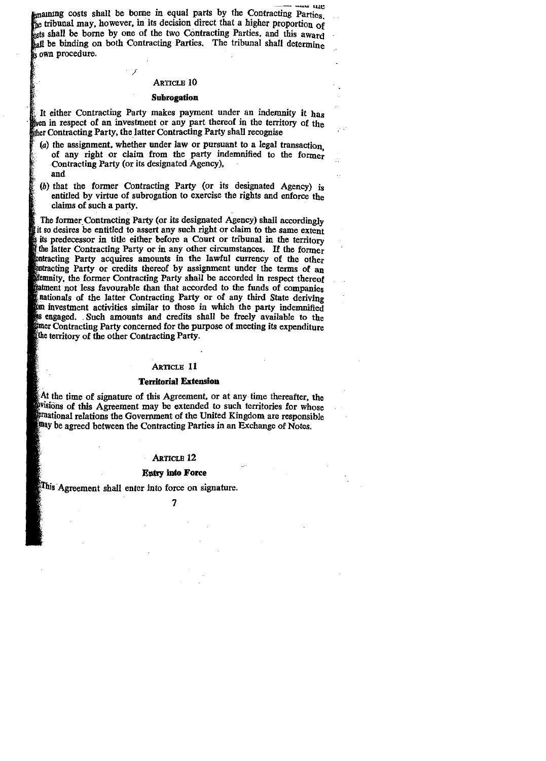**Emaining** costs shall be borne in equal parts by the Contracting Parties. the tribunal may, however, in its decision direct that a higher proportion of shall be borne by one of the two Contracting Parties, and this award **binding on both Contracting Parties.** The tribunal shall determine s own procedure.

#### ARTIcLE 10

#### **Subrogation**

It either Contracting Party makes payment under an indemnity it has wen in respect of an investment or any part thereof in the territory of the ther Contracting Party, the latter Contracting Party shall recognise

- (a) the assignment. whether under law or pursuant to a legal transaction of any right or claim from the party indemnified to the forme; Contracting Party (or its designated Agency). and
- (b) that the former Contracting Party (or its designated Agency) is entitled by virtue of subrogation to exercise the rights and enforce the claims of such a party.

The former Contracting Party (or its designated Agency) shall accordingly it so desires be entitled to assert any such right or claim to the same extent predecessor in title either before a Court or tribunal in the territory latter Contracting Party or in any other circumstances. If the former entracting Party acquires amounts in the lawful currency of the other outracting Party or credits thereof by assignment under the terms of an lemnity, the former Contracting Party shall be accorded in respect thereof fatment not less favourable than that accorded to the funds of companies nationals of the latter Contracting Party or of any third State deriving on investment activities similar to those in which the party indemnified as engaged. Such amounts and credits shall be freely available to the finer Contracting Party concerned for the purpose of meeting its expenditure the territory of the other Contracting Party.

## ARTIcLE II

## **Territorial Extension**

At the time of signature of this Agreement, or at any time thereafter, the wisions of this Agreement may be extended to such territories for whose ternational relations the Government of the United Kingdom are responsible **Day be agreed between the Contracting Parties in an Exchange of Notes.** 

#### ARTICLE 12

#### **EDtry into Force**

This Agreement shall enter into force on signature.